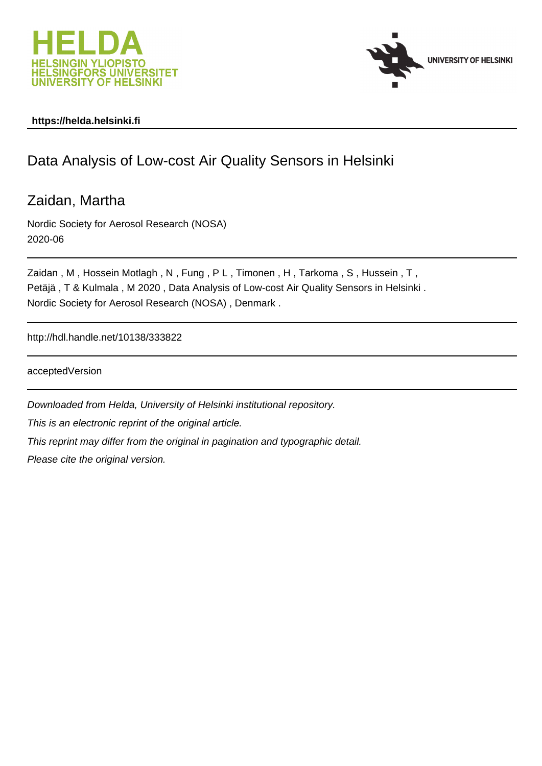



## **https://helda.helsinki.fi**

## Data Analysis of Low-cost Air Quality Sensors in Helsinki

Zaidan, Martha

Nordic Society for Aerosol Research (NOSA) 2020-06

Zaidan, M, Hossein Motlagh, N, Fung, PL, Timonen, H, Tarkoma, S, Hussein, T, Petäjä , T & Kulmala , M 2020 , Data Analysis of Low-cost Air Quality Sensors in Helsinki . Nordic Society for Aerosol Research (NOSA) , Denmark .

http://hdl.handle.net/10138/333822

acceptedVersion

Downloaded from Helda, University of Helsinki institutional repository. This is an electronic reprint of the original article. This reprint may differ from the original in pagination and typographic detail. Please cite the original version.